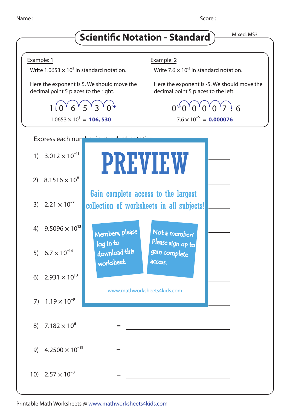Name : Score : Score : Score : Score : Score : Score : Score : Score : Score : Score : Score : Score : Score : Score : Score : Score : Score : Score : Score : Score : Score : Score : Score : Score : Score : Score : Score :

## **Scientific Notation - Standard** Mixed: MS3



Printable Math Worksheets @ www.mathworksheets4kids.com